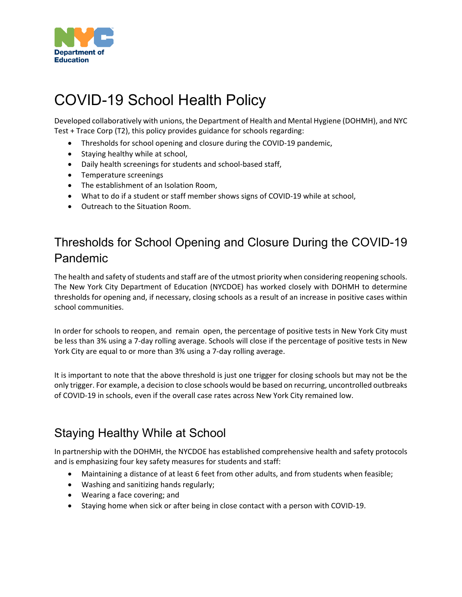

# COVID-19 School Health Policy

Developed collaboratively with unions, the Department of Health and Mental Hygiene (DOHMH), and NYC Test + Trace Corp (T2), this policy provides guidance for schools regarding:

- Thresholds for school opening and closure during the COVID-19 pandemic,
- Staying healthy while at school,
- Daily health screenings for students and school-based staff,
- Temperature screenings
- The establishment of an Isolation Room,
- What to do if a student or staff member shows signs of COVID-19 while at school,
- Outreach to the Situation Room.

## Thresholds for School Opening and Closure During the COVID-19 Pandemic

The health and safety of students and staff are of the utmost priority when considering reopening schools. The New York City Department of Education (NYCDOE) has worked closely with DOHMH to determine thresholds for opening and, if necessary, closing schools as a result of an increase in positive cases within school communities.

In order for schools to reopen, and remain open, the percentage of positive tests in New York City must be less than 3% using a 7-day rolling average. Schools will close if the percentage of positive tests in New York City are equal to or more than 3% using a 7-day rolling average.

It is important to note that the above threshold is just one trigger for closing schools but may not be the only trigger. For example, a decision to close schools would be based on recurring, uncontrolled outbreaks of COVID-19 in schools, even if the overall case rates across New York City remained low.

## Staying Healthy While at School

In partnership with the DOHMH, the NYCDOE has established comprehensive health and safety protocols and is emphasizing four key safety measures for students and staff:

- Maintaining a distance of at least 6 feet from other adults, and from students when feasible;
- Washing and sanitizing hands regularly;
- Wearing a face covering; and
- Staying home when sick or after being in close contact with a person with COVID-19.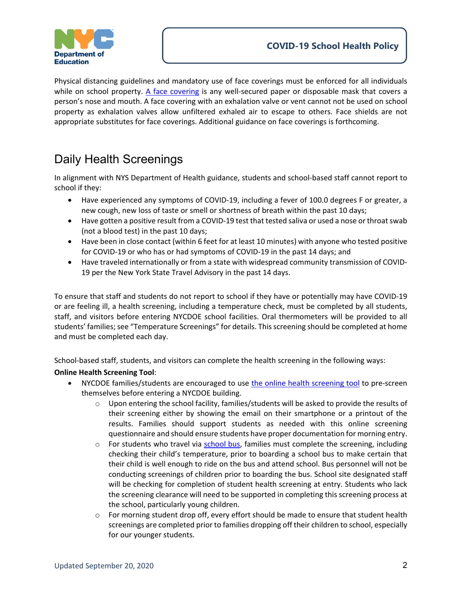

Physical distancing guidelines and mandatory use of face coverings must be enforced for all individuals while on school property. [A face covering](https://www1.nyc.gov/assets/doh/downloads/pdf/imm/covid-19-face-covering-faq.pdf) is any well-secured paper or disposable mask that covers a person's nose and mouth. A face covering with an exhalation valve or vent cannot not be used on school property as exhalation valves allow unfiltered exhaled air to escape to others. Face shields are not appropriate substitutes for face coverings. Additional guidance on face coverings is forthcoming.

## Daily Health Screenings

In alignment with NYS Department of Health guidance, students and school-based staff cannot report to school if they:

- Have experienced any symptoms of COVID-19, including a fever of 100.0 degrees F or greater, a new cough, new loss of taste or smell or shortness of breath within the past 10 days;
- Have gotten a positive result from a COVID-19 test that tested saliva or used a nose or throat swab (not a blood test) in the past 10 days;
- Have been in close contact (within 6 feet for at least 10 minutes) with anyone who tested positive for COVID-19 or who has or had symptoms of COVID-19 in the past 14 days; and
- Have traveled internationally or from a state with widespread community transmission of COVID-19 per the [New York State Travel Advisory](https://coronavirus.health.ny.gov/covid-19-travel-advisory?gclid=CjwKCAjwydP5BRBREiwA-qrCGuRbWhlFUSrOWCvE7tT1_ks5YzJdvnvGjGZmg4LcQiIiTWK3Fu_HwBoC9R4QAvD_BwE) in the past 14 days.

To ensure that staff and students do not report to school if they have or potentially may have COVID-19 or are feeling ill, a health screening, including a temperature check, must be completed by all students, staff, and visitors before entering NYCDOE school facilities. Oral thermometers will be provided to all students' families; see "Temperature Screenings" for details. This screening should be completed at home and must be completed each day.

School-based staff, students, and visitors can complete the health screening in the following ways:

### **Online Health Screening Tool**:

- NYCDOE families/students are encouraged to use [the online health screening tool](https://healthscreening.schools.nyc/) to pre-screen themselves before entering a NYCDOE building.
	- $\circ$  Upon entering the school facility, families/students will be asked to provide the results of their screening either by showing the email on their smartphone or a printout of the results. Families should support students as needed with this online screening questionnaire and should ensure students have proper documentation for morning entry.
	- $\circ$  For students who travel via  $\frac{\text{school bus}}{\text{bus}}$ , families must complete the screening, including checking their child's temperature, prior to boarding a school bus to make certain that their child is well enough to ride on the bus and attend school. Bus personnel will not be conducting screenings of children prior to boarding the bus. School site designated staff will be checking for completion of student health screening at entry. Students who lack the screening clearance will need to be supported in completing this screening process at the school, particularly young children.
	- $\circ$  For morning student drop off, every effort should be made to ensure that student health screenings are completed prior to families dropping off their children to school, especially for our younger students.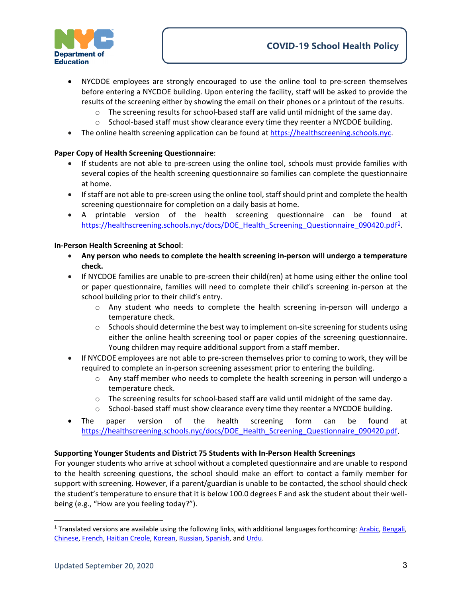

- NYCDOE employees are strongly encouraged to use the online tool to pre-screen themselves before entering a NYCDOE building. Upon entering the facility, staff will be asked to provide the results of the screening either by showing the email on their phones or a printout of the results.
	- $\circ$  The screening results for school-based staff are valid until midnight of the same day.
	- $\circ$  School-based staff must show clearance every time they reenter a NYCDOE building.
- The online health screening application can be found at [https://healthscreening.schools.nyc.](https://healthscreening.schools.nyc/)

#### **Paper Copy of Health Screening Questionnaire**:

- If students are not able to pre-screen using the online tool, schools must provide families with several copies of the health screening questionnaire so families can complete the questionnaire at home.
- If staff are not able to pre-screen using the online tool, staff should print and complete the health screening questionnaire for completion on a daily basis at home.
- A printable version of the health screening questionnaire can be found at https://healthscreening.schools.nyc/docs/DOE Health Screening Questionnaire 090420.pdf<sup>[1](#page-2-0)</sup>.

#### **In-Person Health Screening at School**:

- **Any person who needs to complete the health screening in-person will undergo a temperature check.**
- If NYCDOE families are unable to pre-screen their child(ren) at home using either the online tool or paper questionnaire, families will need to complete their child's screening in-person at the school building prior to their child's entry.
	- o Any student who needs to complete the health screening in-person will undergo a temperature check.
	- o Schools should determine the best way to implement on-site screening for students using either the online health screening tool or paper copies of the screening questionnaire. Young children may require additional support from a staff member.
- If NYCDOE employees are not able to pre-screen themselves prior to coming to work, they will be required to complete an in-person screening assessment prior to entering the building.
	- $\circ$  Any staff member who needs to complete the health screening in person will undergo a temperature check.
	- $\circ$  The screening results for school-based staff are valid until midnight of the same day.
	- $\circ$  School-based staff must show clearance every time they reenter a NYCDOE building.
- The paper version of the health screening form can be found at https://healthscreening.schools.nyc/docs/DOE Health Screening Questionnaire 090420.pdf.

#### **Supporting Younger Students and District 75 Students with In-Person Health Screenings**

For younger students who arrive at school without a completed questionnaire and are unable to respond to the health screening questions, the school should make an effort to contact a family member for support with screening. However, if a parent/guardian is unable to be contacted, the school should check the student's temperature to ensure that it is below 100.0 degrees F and ask the student about their wellbeing (e.g., "How are you feeling today?").

 $\overline{a}$ 

<span id="page-2-0"></span> $1$  Translated versions are available using the following links, with additional languages forthcoming[: Arabic,](https://healthscreening.schools.nyc/docs/31799_DOE%20Health%20Screening%20Questionnaire_090420_Arabic.pdf) [Bengali,](https://healthscreening.schools.nyc/docs/31799_DOE%20Health%20Screening%20Questionnaire_090420_Bengali_Bangla.pdf) [Chinese,](https://healthscreening.schools.nyc/docs/31799_DOE%20Health%20Screening%20Questionnaire_090420_Chinese.pdf) [French,](https://healthscreening.schools.nyc/docs/31799_DOE%20Health%20Screening%20Questionnaire_090420_French.pdf) [Haitian Creole,](https://healthscreening.schools.nyc/docs/31799_DOE%20Health%20Screening%20Questionnaire_090420_HaitianCreole.pdf) [Korean,](https://healthscreening.schools.nyc/docs/31799_DOE%20Health%20Screening%20Questionnaire_090420_Korean.pdf) [Russian,](https://healthscreening.schools.nyc/docs/31799_DOE%20Health%20Screening%20Questionnaire_090420_Russian.pdf) [Spanish,](https://healthscreening.schools.nyc/docs/31799_DOE%20Health%20Screening%20Questionnaire_090420_Spanish.pdf) an[d Urdu.](https://healthscreening.schools.nyc/docs/31799_DOE%20Health%20Screening%20Questionnaire_090420_Urdu.pdf)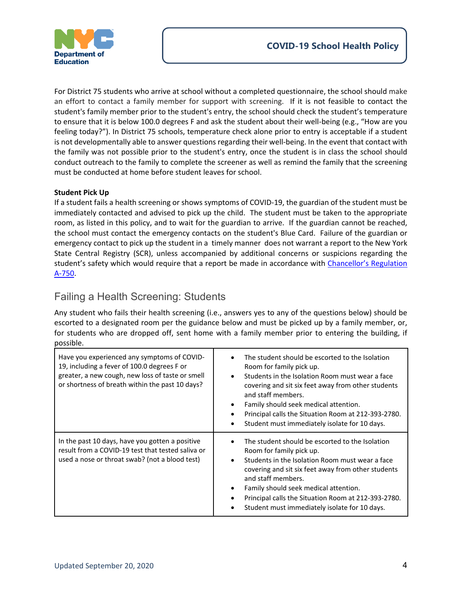

For District 75 students who arrive at school without a completed questionnaire, the school should make an effort to contact a family member for support with screening. If it is not feasible to contact the student's family member prior to the student's entry, the school should check the student's temperature to ensure that it is below 100.0 degrees F and ask the student about their well-being (e.g., "How are you feeling today?"). In District 75 schools, temperature check alone prior to entry is acceptable if a student is not developmentally able to answer questions regarding their well-being. In the event that contact with the family was not possible prior to the student's entry, once the student is in class the school should conduct outreach to the family to complete the screener as well as remind the family that the screening must be conducted at home before student leaves for school.

### **Student Pick Up**

If a student fails a health screening or shows symptoms of COVID-19, the guardian of the student must be immediately contacted and advised to pick up the child. The student must be taken to the appropriate room, as listed in this policy, and to wait for the guardian to arrive. If the guardian cannot be reached, the school must contact the emergency contacts on the student's Blue Card. Failure of the guardian or emergency contact to pick up the student in a timely manner does not warrant a report to the New York State Central Registry (SCR), unless accompanied by additional concerns or suspicions regarding the student's safety which would require that a report be made in accordance with Chancellor's Regulation [A-750.](https://www.schools.nyc.gov/docs/default-source/default-document-library/a-750-9-28-2017-final-remediated-wcag2-0)

### Failing a Health Screening: Students

Any student who fails their health screening (i.e., answers yes to any of the questions below) should be escorted to a designated room per the guidance below and must be picked up by a family member, or, for students who are dropped off, sent home with a family member prior to entering the building, if possible.

| Have you experienced any symptoms of COVID-<br>19, including a fever of 100.0 degrees F or<br>greater, a new cough, new loss of taste or smell<br>or shortness of breath within the past 10 days? | The student should be escorted to the Isolation<br>Room for family pick up.<br>Students in the Isolation Room must wear a face<br>$\bullet$<br>covering and sit six feet away from other students<br>and staff members.<br>Family should seek medical attention.<br>٠<br>Principal calls the Situation Room at 212-393-2780.<br>Student must immediately isolate for 10 days. |
|---------------------------------------------------------------------------------------------------------------------------------------------------------------------------------------------------|-------------------------------------------------------------------------------------------------------------------------------------------------------------------------------------------------------------------------------------------------------------------------------------------------------------------------------------------------------------------------------|
| In the past 10 days, have you gotten a positive<br>result from a COVID-19 test that tested saliva or<br>used a nose or throat swab? (not a blood test)                                            | The student should be escorted to the Isolation<br>Room for family pick up.<br>Students in the Isolation Room must wear a face<br>$\bullet$<br>covering and sit six feet away from other students<br>and staff members.<br>Family should seek medical attention.<br>Principal calls the Situation Room at 212-393-2780.<br>Student must immediately isolate for 10 days.      |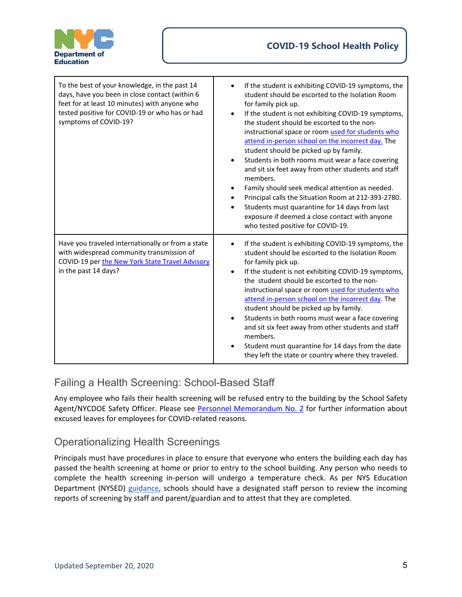

| To the best of your knowledge, in the past 14<br>days, have you been in close contact (within 6<br>feet for at least 10 minutes) with anyone who<br>tested positive for COVID-19 or who has or had<br>symptoms of COVID-19? | If the student is exhibiting COVID-19 symptoms, the<br>student should be escorted to the Isolation Room<br>for family pick up.<br>If the student is not exhibiting COVID-19 symptoms,<br>$\bullet$<br>the student should be escorted to the non-<br>instructional space or room used for students who<br>attend in-person school on the incorrect day. The<br>student should be picked up by family.<br>Students in both rooms must wear a face covering<br>and sit six feet away from other students and staff<br>members.<br>Family should seek medical attention as needed.<br>Principal calls the Situation Room at 212-393-2780.<br>Students must quarantine for 14 days from last<br>exposure if deemed a close contact with anyone<br>who tested positive for COVID-19. |
|-----------------------------------------------------------------------------------------------------------------------------------------------------------------------------------------------------------------------------|--------------------------------------------------------------------------------------------------------------------------------------------------------------------------------------------------------------------------------------------------------------------------------------------------------------------------------------------------------------------------------------------------------------------------------------------------------------------------------------------------------------------------------------------------------------------------------------------------------------------------------------------------------------------------------------------------------------------------------------------------------------------------------|
| Have you traveled internationally or from a state<br>with widespread community transmission of<br>COVID-19 per the New York State Travel Advisory<br>in the past 14 days?                                                   | If the student is exhibiting COVID-19 symptoms, the<br>$\bullet$<br>student should be escorted to the Isolation Room<br>for family pick up.<br>If the student is not exhibiting COVID-19 symptoms,<br>$\bullet$<br>the student should be escorted to the non-<br>instructional space or room used for students who<br>attend in-person school on the incorrect day. The<br>student should be picked up by family.<br>Students in both rooms must wear a face covering<br>and sit six feet away from other students and staff<br>members.<br>Student must quarantine for 14 days from the date<br>they left the state or country where they traveled.                                                                                                                           |

## Failing a Health Screening: School-Based Staff

Any employee who fails their health screening will be refused entry to the building by the School Safety Agent/NYCDOE Safety Officer. Please see [Personnel Memorandum No. 2](https://infohub.nyced.org/docs/default-source/doe-employees-only/personnel-memo-covid-related-timekeeping-2020-2021-final-9-1-20.pdf) for further information about excused leaves for employees for COVID-related reasons.

## Operationalizing Health Screenings

Principals must have procedures in place to ensure that everyone who enters the building each day has passed the health screening at home or prior to entry to the school building. Any person who needs to complete the health screening in-person will undergo a temperature check. As per NYS Education Department (NYSED) [guidance,](http://www.nysed.gov/common/nysed/files/programs/reopening-schools/nys-p12-school-reopening-guidance.pdf) schools should have a designated staff person to review the incoming reports of screening by staff and parent/guardian and to attest that they are completed.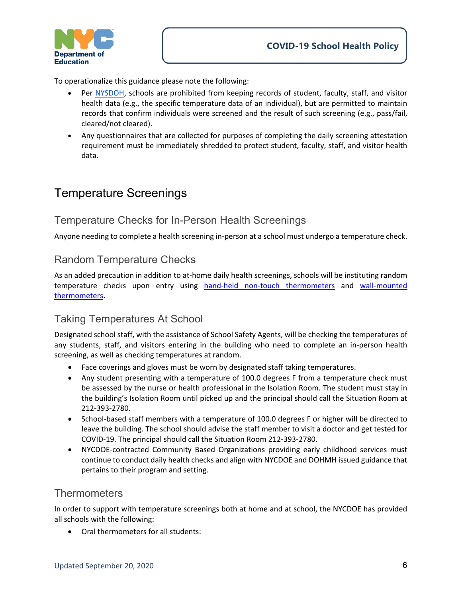

To operationalize this guidance please note the following:

- Per [NYSDOH,](https://www.governor.ny.gov/sites/governor.ny.gov/files/atoms/files/Pre-K_to_Grade_12_Schools_MasterGuidance.pdf) schools are prohibited from keeping records of student, faculty, staff, and visitor health data (e.g., the specific temperature data of an individual), but are permitted to maintain records that confirm individuals were screened and the result of such screening (e.g., pass/fail, cleared/not cleared).
- Any questionnaires that are collected for purposes of completing the daily screening attestation requirement must be immediately shredded to protect student, faculty, staff, and visitor health data.

## Temperature Screenings

### Temperature Checks for In-Person Health Screenings

Anyone needing to complete a health screening in-person at a school must undergo a temperature check.

### Random Temperature Checks

As an added precaution in addition to at-home daily health screenings, schools will be instituting random temperature checks upon entry using [hand-held non-touch thermometers](https://www.fda.gov/medical-devices/general-hospital-devices-and-supplies/non-contact-infrared-thermometers) and wall-mounted [thermometers.](https://infohub.nyced.org/docs/default-source/doe-employees-only/wall-mounted-thermometers.pdf)

### Taking Temperatures At School

Designated school staff, with the assistance of School Safety Agents, will be checking the temperatures of any students, staff, and visitors entering in the building who need to complete an in-person health screening, as well as checking temperatures at random.

- Face coverings and gloves must be worn by designated staff taking temperatures.
- Any student presenting with a temperature of 100.0 degrees F from a temperature check must be assessed by the nurse or health professional in the Isolation Room. The student must stay in the building's Isolation Room until picked up and the principal should call the Situation Room at 212-393-2780.
- School-based staff members with a temperature of 100.0 degrees F or higher will be directed to leave the building. The school should advise the staff member to visit a doctor and get tested for COVID-19. The principal should call the Situation Room 212-393-2780.
- NYCDOE-contracted Community Based Organizations providing early childhood services must continue to conduct daily health checks and align with NYCDOE and DOHMH issued guidance that pertains to their program and setting.

### **Thermometers**

In order to support with temperature screenings both at home and at school, the NYCDOE has provided all schools with the following:

• Oral thermometers for all students: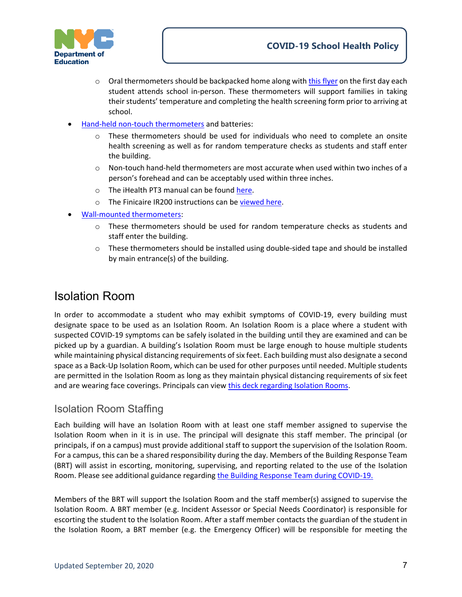

- $\circ$  Oral thermometers should be backpacked home along with [this flyer](https://infohub.nyced.org/docs/default-source/doe-employees-only/doe_home-temp-screening-flyer_v1.pdf) on the first day each student attends school in-person. These thermometers will support families in taking their students' temperature and completing the health screening form prior to arriving at school.
- [Hand-held non-touch thermometers](https://www.fda.gov/medical-devices/general-hospital-devices-and-supplies/non-contact-infrared-thermometers) and batteries:
	- o These thermometers should be used for individuals who need to complete an onsite health screening as well as for random temperature checks as students and staff enter the building.
	- $\circ$  Non-touch hand-held thermometers are most accurate when used within two inches of a person's forehead and can be acceptably used within three inches.
	- o The iHealth PT3 manual can be foun[d here.](https://infohub.nyced.org/docs/default-source/doe-employees-only/ihealth-thermometer-v1-0-20180402-(1).pdf)
	- o The Finicaire IR200 instructions can be [viewed here.](https://youtu.be/rZcwObTImeA)
- [Wall-mounted thermometers:](https://infohub.nyced.org/docs/default-source/doe-employees-only/wall-mounted-thermometers.pdf)
	- $\circ$  These thermometers should be used for random temperature checks as students and staff enter the building.
	- $\circ$  These thermometers should be installed using double-sided tape and should be installed by main entrance(s) of the building.

## Isolation Room

In order to accommodate a student who may exhibit symptoms of COVID-19, every building must designate space to be used as an Isolation Room. An Isolation Room is a place where a student with suspected COVID-19 symptoms can be safely isolated in the building until they are examined and can be picked up by a guardian. A building's Isolation Room must be large enough to house multiple students while maintaining physical distancing requirements of six feet. Each building must also designate a second space as a Back-Up Isolation Room, which can be used for other purposes until needed. Multiple students are permitted in the Isolation Room as long as they maintain physical distancing requirements of six feet and are wearing face coverings. Principals can vie[w this deck regarding Isolation Rooms.](https://infohub.nyced.org/docs/default-source/doe-employees-only/isolation-room_9-18-2020.pdf)

### Isolation Room Staffing

Each building will have an Isolation Room with at least one staff member assigned to supervise the Isolation Room when in it is in use. The principal will designate this staff member. The principal (or principals, if on a campus) must provide additional staff to support the supervision of the Isolation Room. For a campus, this can be a shared responsibility during the day. Members of the Building Response Team (BRT) will assist in escorting, monitoring, supervising, and reporting related to the use of the Isolation Room. Please see additional guidance regarding [the Building Response Team during COVID-19.](https://infohub.nyced.org/school-year-2020-21/return-to-school-2020/covid-19-school-health-policy/brt-during-covid-19)

Members of the BRT will support the Isolation Room and the staff member(s) assigned to supervise the Isolation Room. A BRT member (e.g. Incident Assessor or Special Needs Coordinator) is responsible for escorting the student to the Isolation Room. After a staff member contacts the guardian of the student in the Isolation Room, a BRT member (e.g. the Emergency Officer) will be responsible for meeting the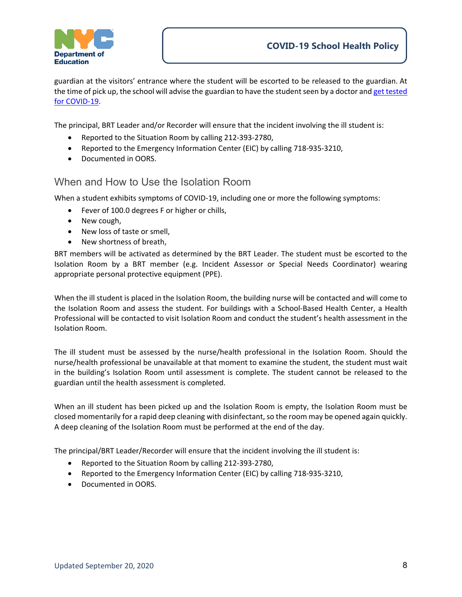

guardian at the visitors' entrance where the student will be escorted to be released to the guardian. At the time of pick up, the school will advise the guardian to have the student seen by a doctor an[d get tested](https://www1.nyc.gov/site/coronavirus/get-tested/covid-19-testing.page)  [for COVID-19.](https://www1.nyc.gov/site/coronavirus/get-tested/covid-19-testing.page)

The principal, BRT Leader and/or Recorder will ensure that the incident involving the ill student is:

- Reported to the Situation Room by calling 212-393-2780,
- Reported to the Emergency Information Center (EIC) by calling 718-935-3210,
- Documented in OORS.

### When and How to Use the Isolation Room

When a student exhibits symptoms of COVID-19, including one or more the following symptoms:

- Fever of 100.0 degrees F or higher or chills,
- New cough,
- New loss of taste or smell,
- New shortness of breath,

BRT members will be activated as determined by the BRT Leader. The student must be escorted to the Isolation Room by a BRT member (e.g. Incident Assessor or Special Needs Coordinator) wearing appropriate personal protective equipment (PPE).

When the ill student is placed in the Isolation Room, the building nurse will be contacted and will come to the Isolation Room and assess the student. For buildings with a School-Based Health Center, a Health Professional will be contacted to visit Isolation Room and conduct the student's health assessment in the Isolation Room.

The ill student must be assessed by the nurse/health professional in the Isolation Room. Should the nurse/health professional be unavailable at that moment to examine the student, the student must wait in the building's Isolation Room until assessment is complete. The student cannot be released to the guardian until the health assessment is completed.

When an ill student has been picked up and the Isolation Room is empty, the Isolation Room must be closed momentarily for a rapid deep cleaning with disinfectant, so the room may be opened again quickly. A deep cleaning of the Isolation Room must be performed at the end of the day.

The principal/BRT Leader/Recorder will ensure that the incident involving the ill student is:

- Reported to the Situation Room by calling 212-393-2780,
- Reported to the Emergency Information Center (EIC) by calling 718-935-3210,
- Documented in OORS.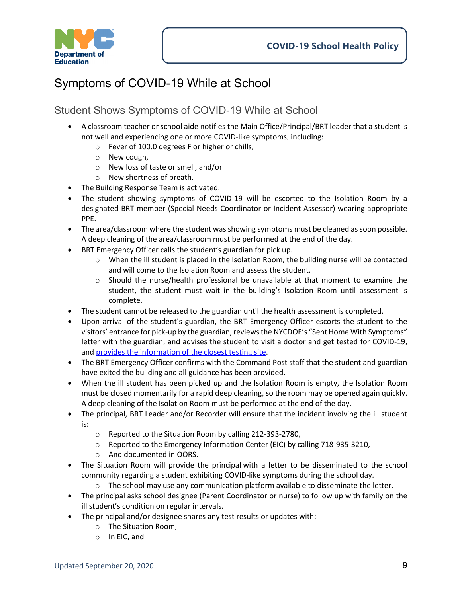

## Symptoms of COVID-19 While at School

## Student Shows Symptoms of COVID-19 While at School

- A classroom teacher or school aide notifies the Main Office/Principal/BRT leader that a student is not well and experiencing one or more COVID-like symptoms, including:
	- o Fever of 100.0 degrees F or higher or chills,
	- o New cough,
	- o New loss of taste or smell, and/or
	- o New shortness of breath.
- The Building Response Team is activated.
- The student showing symptoms of COVID-19 will be escorted to the Isolation Room by a designated BRT member (Special Needs Coordinator or Incident Assessor) wearing appropriate PPE.
- The area/classroom where the student was showing symptoms must be cleaned as soon possible. A deep cleaning of the area/classroom must be performed at the end of the day.
- BRT Emergency Officer calls the student's guardian for pick up.
	- $\circ$  When the ill student is placed in the Isolation Room, the building nurse will be contacted and will come to the Isolation Room and assess the student.
	- $\circ$  Should the nurse/health professional be unavailable at that moment to examine the student, the student must wait in the building's Isolation Room until assessment is complete.
- The student cannot be released to the guardian until the health assessment is completed.
- Upon arrival of the student's guardian, the BRT Emergency Officer escorts the student to the visitors' entrance for pick-up by the guardian, reviews the NYCDOE's "Sent Home With Symptoms" letter with the guardian, and advises the student to visit a doctor and get tested for COVID-19, and [provides the information of the closest testing site.](https://www1.nyc.gov/site/coronavirus/get-tested/covid-19-testing.page)
- The BRT Emergency Officer confirms with the Command Post staff that the student and guardian have exited the building and all guidance has been provided.
- When the ill student has been picked up and the Isolation Room is empty, the Isolation Room must be closed momentarily for a rapid deep cleaning, so the room may be opened again quickly. A deep cleaning of the Isolation Room must be performed at the end of the day.
- The principal, BRT Leader and/or Recorder will ensure that the incident involving the ill student is:
	- o Reported to the Situation Room by calling 212-393-2780,
	- o Reported to the Emergency Information Center (EIC) by calling 718-935-3210,
	- o And documented in OORS.
- The Situation Room will provide the principal with a letter to be disseminated to the school community regarding a student exhibiting COVID-like symptoms during the school day.
	- $\circ$  The school may use any communication platform available to disseminate the letter.
- The principal asks school designee (Parent Coordinator or nurse) to follow up with family on the ill student's condition on regular intervals.
- The principal and/or designee shares any test results or updates with:
	- o The Situation Room,
	- o In EIC, and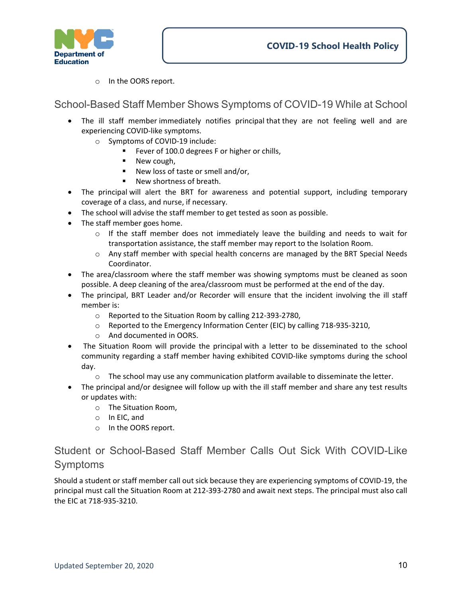

o In the OORS report.

School-Based Staff Member Shows Symptoms of COVID-19 While at School

- The ill staff member immediately notifies principal that they are not feeling well and are experiencing COVID-like symptoms.
	- o Symptoms of COVID-19 include:
		- Fever of 100.0 degrees F or higher or chills,
		- **New cough,**
		- New loss of taste or smell and/or,
		- New shortness of breath.
- The principal will alert the BRT for awareness and potential support, including temporary coverage of a class, and nurse, if necessary.
- The school will advise the staff member to get tested as soon as possible.
- The staff member goes home.
	- $\circ$  If the staff member does not immediately leave the building and needs to wait for transportation assistance, the staff member may report to the Isolation Room.
	- o Any staff member with special health concerns are managed by the BRT Special Needs Coordinator.
- The area/classroom where the staff member was showing symptoms must be cleaned as soon possible. A deep cleaning of the area/classroom must be performed at the end of the day.
- The principal, BRT Leader and/or Recorder will ensure that the incident involving the ill staff member is:
	- o Reported to the Situation Room by calling 212-393-2780,
	- o Reported to the Emergency Information Center (EIC) by calling 718-935-3210,
	- o And documented in OORS.
- The Situation Room will provide the principal with a letter to be disseminated to the school community regarding a staff member having exhibited COVID-like symptoms during the school day.
	- o The school may use any communication platform available to disseminate the letter.
- The principal and/or designee will follow up with the ill staff member and share any test results or updates with:
	- o The Situation Room,
	- o In EIC, and
	- o In the OORS report.

## Student or School-Based Staff Member Calls Out Sick With COVID-Like Symptoms

Should a student or staff member call out sick because they are experiencing symptoms of COVID-19, the principal must call the Situation Room at 212-393-2780 and await next steps. The principal must also call the EIC at 718-935-3210.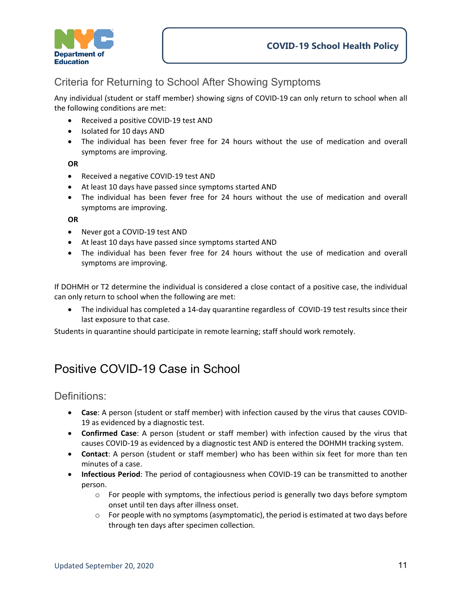

## Criteria for Returning to School After Showing Symptoms

Any individual (student or staff member) showing signs of COVID-19 can only return to school when all the following conditions are met:

- Received a positive COVID-19 test AND
- Isolated for 10 days AND
- The individual has been fever free for 24 hours without the use of medication and overall symptoms are improving.

#### **OR**

- Received a negative COVID-19 test AND
- At least 10 days have passed since symptoms started AND
- The individual has been fever free for 24 hours without the use of medication and overall symptoms are improving.

#### **OR**

- Never got a COVID-19 test AND
- At least 10 days have passed since symptoms started AND
- The individual has been fever free for 24 hours without the use of medication and overall symptoms are improving.

If DOHMH or T2 determine the individual is considered a close contact of a positive case, the individual can only return to school when the following are met:

• The individual has completed a 14-day quarantine regardless of COVID-19 test results since their last exposure to that case.

Students in quarantine should participate in remote learning; staff should work remotely.

## Positive COVID-19 Case in School

Definitions:

- **Case**: A person (student or staff member) with infection caused by the virus that causes COVID-19 as evidenced by a diagnostic test.
- **Confirmed Case**: A person (student or staff member) with infection caused by the virus that causes COVID-19 as evidenced by a diagnostic test AND is entered the DOHMH tracking system.
- **Contact**: A person (student or staff member) who has been within six feet for more than ten minutes of a case.
- **Infectious Period**: The period of contagiousness when COVID-19 can be transmitted to another person.
	- $\circ$  For people with symptoms, the infectious period is generally two days before symptom onset until ten days after illness onset.
	- $\circ$  For people with no symptoms (asymptomatic), the period is estimated at two days before through ten days after specimen collection.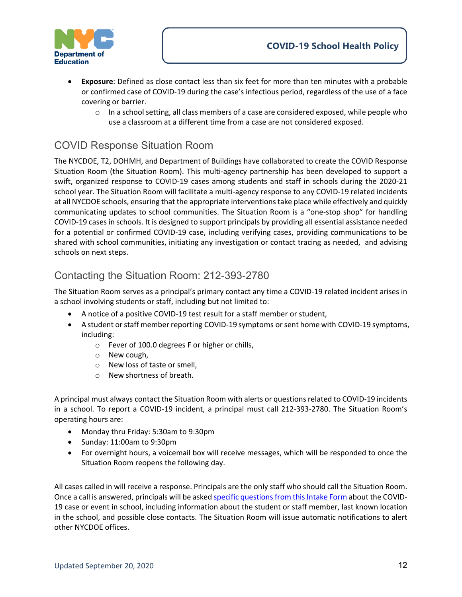

- **Exposure**: Defined as close contact less than six feet for more than ten minutes with a probable or confirmed case of COVID-19 during the case's infectious period, regardless of the use of a face covering or barrier.
	- $\circ$  In a school setting, all class members of a case are considered exposed, while people who use a classroom at a different time from a case are not considered exposed.

## COVID Response Situation Room

The NYCDOE, T2, DOHMH, and Department of Buildings have collaborated to create the COVID Response Situation Room (the Situation Room). This multi-agency partnership has been developed to support a swift, organized response to COVID-19 cases among students and staff in schools during the 2020-21 school year. The Situation Room will facilitate a multi-agency response to any COVID-19 related incidents at all NYCDOE schools, ensuring that the appropriate interventions take place while effectively and quickly communicating updates to school communities. The Situation Room is a "one-stop shop" for handling COVID-19 cases in schools. It is designed to support principals by providing all essential assistance needed for a potential or confirmed COVID-19 case, including verifying cases, providing communications to be shared with school communities, initiating any investigation or contact tracing as needed, and advising schools on next steps.

### Contacting the Situation Room: 212-393-2780

The Situation Room serves as a principal's primary contact any time a COVID-19 related incident arises in a school involving students or staff, including but not limited to:

- A notice of a positive COVID-19 test result for a staff member or student,
- A student or staff member reporting COVID-19 symptoms or sent home with COVID-19 symptoms, including:
	- o Fever of 100.0 degrees F or higher or chills,
	- o New cough,
	- o New loss of taste or smell,
	- o New shortness of breath.

A principal must always contact the Situation Room with alerts or questions related to COVID-19 incidents in a school. To report a COVID-19 incident, a principal must call 212-393-2780. The Situation Room's operating hours are:

- Monday thru Friday: 5:30am to 9:30pm
- Sunday: 11:00am to 9:30pm
- For overnight hours, a voicemail box will receive messages, which will be responded to once the Situation Room reopens the following day.

All cases called in will receive a response. Principals are the only staff who should call the Situation Room. Once a call is answered, principals will be asked specific questions [from this Intake Form](https://infohub.nyced.org/docs/default-source/doe-employees-only/for-share---basic-incoming-call-phone-script_v2.pdf) about the COVID-19 case or event in school, including information about the student or staff member, last known location in the school, and possible close contacts. The Situation Room will issue automatic notifications to alert other NYCDOE offices.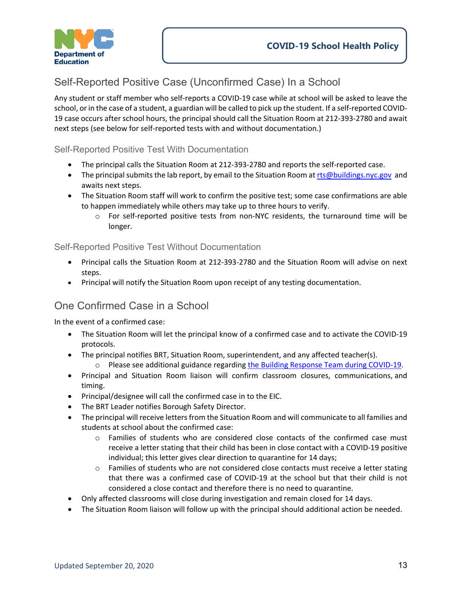

## Self-Reported Positive Case (Unconfirmed Case) In a School

Any student or staff member who self-reports a COVID-19 case while at school will be asked to leave the school, or in the case of a student, a guardian will be called to pick up the student. If a self-reported COVID-19 case occurs after school hours, the principal should call the Situation Room at 212-393-2780 and await next steps (see below for self-reported tests with and without documentation.)

### Self-Reported Positive Test With Documentation

- The principal calls the Situation Room at 212-393-2780 and reports the self-reported case.
- The principal submits the lab report, by email to the Situation Room a[t rts@buildings.nyc.gov](mailto:rts@buildings.nyc.gov) and awaits next steps.
- The Situation Room staff will work to confirm the positive test; some case confirmations are able to happen immediately while others may take up to three hours to verify.
	- o For self-reported positive tests from non-NYC residents, the turnaround time will be longer.

### Self-Reported Positive Test Without Documentation

- Principal calls the Situation Room at 212-393-2780 and the Situation Room will advise on next steps.
- Principal will notify the Situation Room upon receipt of any testing documentation.

### One Confirmed Case in a School

In the event of a confirmed case:

- The Situation Room will let the principal know of a confirmed case and to activate the COVID-19 protocols.
- The principal notifies BRT, Situation Room, superintendent, and any affected teacher(s).
	- o Please see additional guidance regardin[g the Building Response Team during COVID-19.](https://infohub.nyced.org/school-year-2020-21/return-to-school-2020/covid-19-school-health-policy/brt-during-covid-19)
- Principal and Situation Room liaison will confirm classroom closures, communications, and timing.
- Principal/designee will call the confirmed case in to the EIC.
- The BRT Leader notifies Borough Safety Director.
- The principal will receive letters from the Situation Room and will communicate to all families and students at school about the confirmed case:
	- o Families of students who are considered close contacts of the confirmed case must receive a letter stating that their child has been in close contact with a COVID-19 positive individual; this letter gives clear direction to quarantine for 14 days;
	- $\circ$  Families of students who are not considered close contacts must receive a letter stating that there was a confirmed case of COVID-19 at the school but that their child is not considered a close contact and therefore there is no need to quarantine.
- Only affected classrooms will close during investigation and remain closed for 14 days.
- The Situation Room liaison will follow up with the principal should additional action be needed.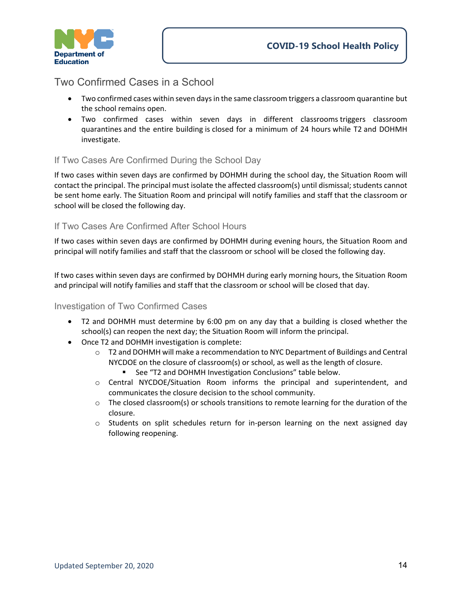

### Two Confirmed Cases in a School

- Two confirmed cases within seven days in the same classroom triggers a classroom quarantine but the school remains open.
- Two confirmed cases within seven days in different classrooms triggers classroom quarantines and the entire building is closed for a minimum of 24 hours while T2 and DOHMH investigate.

### If Two Cases Are Confirmed During the School Day

If two cases within seven days are confirmed by DOHMH during the school day, the Situation Room will contact the principal. The principal must isolate the affected classroom(s) until dismissal; students cannot be sent home early. The Situation Room and principal will notify families and staff that the classroom or school will be closed the following day.

### If Two Cases Are Confirmed After School Hours

If two cases within seven days are confirmed by DOHMH during evening hours, the Situation Room and principal will notify families and staff that the classroom or school will be closed the following day.

If two cases within seven days are confirmed by DOHMH during early morning hours, the Situation Room and principal will notify families and staff that the classroom or school will be closed that day.

### Investigation of Two Confirmed Cases

- T2 and DOHMH must determine by 6:00 pm on any day that a building is closed whether the school(s) can reopen the next day; the Situation Room will inform the principal.
- Once T2 and DOHMH investigation is complete:
	- o T2 and DOHMH will make a recommendation to NYC Department of Buildings and Central NYCDOE on the closure of classroom(s) or school, as well as the length of closure.
		- See "T2 and DOHMH Investigation Conclusions" table below.
	- o Central NYCDOE/Situation Room informs the principal and superintendent, and communicates the closure decision to the school community.
	- $\circ$  The closed classroom(s) or schools transitions to remote learning for the duration of the closure.
	- $\circ$  Students on split schedules return for in-person learning on the next assigned day following reopening.